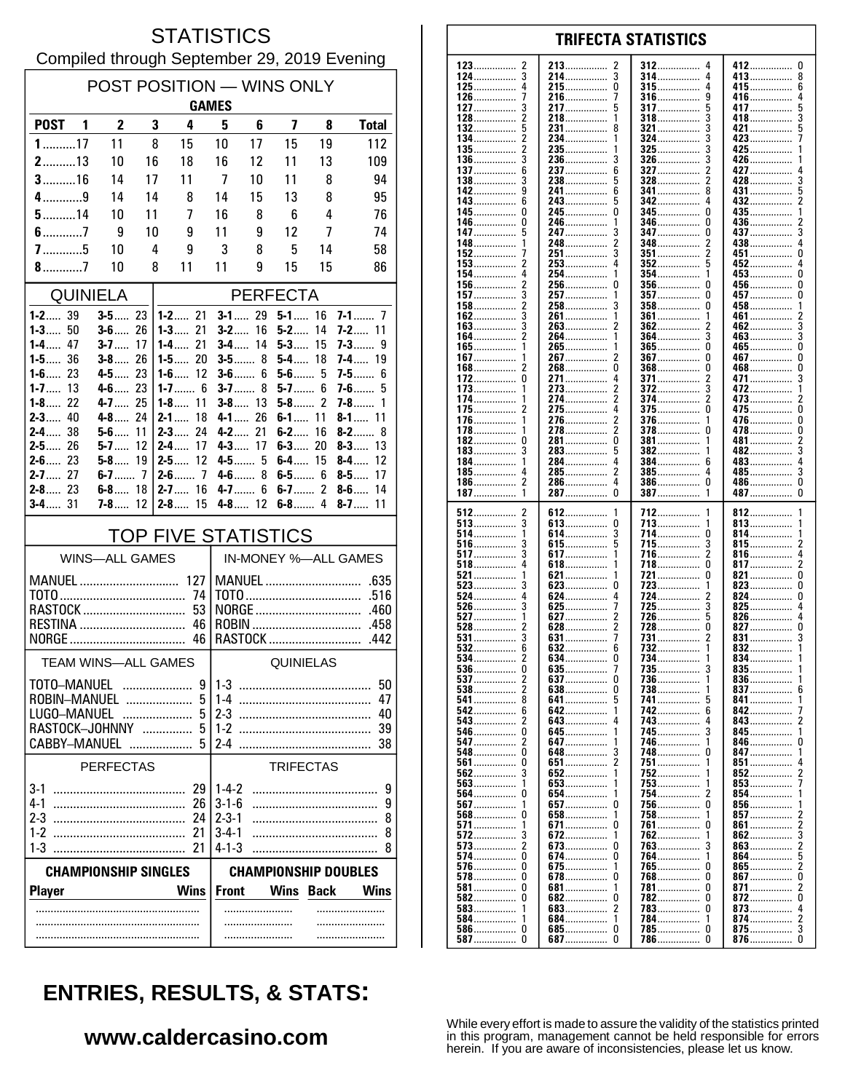#### **STATISTICS** Compiled through September 29, 2019 Evening

| POST POSITION - WINS ONLY<br><b>GAMES</b>                  |                          |     |                              |                            |                                                 |                         |          |                              |  |
|------------------------------------------------------------|--------------------------|-----|------------------------------|----------------------------|-------------------------------------------------|-------------------------|----------|------------------------------|--|
| POST <sub>1</sub>                                          | $\overline{2}$           | 3   | 4                            | 5                          | 6                                               | $\overline{\mathbf{z}}$ | 8        | <b>Total</b>                 |  |
| $1$ 17                                                     | 11                       | 8   | 15                           | 10                         | 17                                              | 15                      | 19       | 112                          |  |
| $2$ 13                                                     | 10                       | 16  | 18                           | 16                         | 12                                              | 11                      | 13       | 109                          |  |
| $3$ 16                                                     | 14                       | 17  | 11                           | -7                         | 10                                              | 11                      | 8        | 94                           |  |
| 4…………9                                                     | 14                       | 14  | 8                            | 14                         | 15                                              | 13                      | 8        | 95                           |  |
| $5$ 14                                                     | 10                       | 11  | 7                            | 16                         | 8                                               | 6                       | 4        | 76                           |  |
| $6$ 7                                                      | 9                        | 10  | 9                            | 11                         | 9                                               | 12                      | 7        | 74                           |  |
|                                                            | 10                       | 4   | 9                            | 3                          | 8                                               | 5                       | 14       | 58                           |  |
| $8$ 7<br>10<br>8<br>11<br>9<br>15<br>15<br>11<br>86        |                          |     |                              |                            |                                                 |                         |          |                              |  |
|                                                            | <b>QUINIELA</b>          |     |                              |                            |                                                 | <b>PERFECTA</b>         |          |                              |  |
| $1 - 2$ 39<br><b>1-3</b> 50                                | $3 - 5$ 23<br>$3 - 6$ 26 |     | $1 - 2$ 21<br>1-3<br>21      | $3-2$                      | $3 - 1$ 29<br>16                                | $5 - 1$ 16<br>5-2       | 14       | <b>7-2</b> 11                |  |
| $1 - 4$ 47                                                 | $3 - 7$                  | -17 | 1-4……<br>21                  |                            | $3 - 4$ 14                                      | $5-3$                   | 15       | 7-3<br>9                     |  |
| $1 - 5$ 36                                                 | $3-8$                    | 26  | 20<br>$1-5$                  |                            | $3 - 5$ 8                                       | $5-4$                   | 18       | $7 - 4$ 19                   |  |
| $1 - 6$ 23<br>$1 - 7$ 13                                   | $4 - 5$ 23<br>$4-6$ 23   |     | $1 - 6$ 12<br>1-7 6          |                            | $3 - 6$ 6<br>$3 - 7$ 8                          | $5 - 6$ 5<br>$5-7$      | 6        | $7 - 5$<br>6<br>7-6…….<br>5  |  |
| $1 - 8$ 22                                                 | 4-7 25                   |     | $1 - 8$<br>11                |                            | $3 - 8$ 13                                      | $5 - 8$ 2               |          | $7 - 8$<br>1                 |  |
| $2 - 3$ 40                                                 | $4 - 8$ $24$             |     | $2 - 1$<br>18                |                            | $4 - 1$ 26                                      | $6 - 1$ 11              |          | $8 - 1$ 11                   |  |
| $2 - 4$ 38<br>26<br>2-5……                                  | $5 - 6$ 11<br>$5-7$      | 12  | $2 - 3$<br>24<br>17<br>2-4…… |                            | $4 - 2$ 21<br>$4 - 3$ 17                        | $6-2$<br>$6-3$          | 16<br>20 | $8-2$<br>8<br>$8 - 3$<br>13  |  |
| $2 - 6$ 23                                                 | $5-8$                    | -19 | 12<br>2-5……                  |                            | $4 - 5$ 5                                       | $6-4$ 15                |          | $8-4$<br>12                  |  |
| $2 - 7$ 27                                                 |                          |     | $2-6$ 7                      |                            | $4-6$ 8                                         | $6 - 5$ 6               |          | $8-5$<br>17                  |  |
| $2 - 8$ 23<br>$3 - 4$ 31                                   | $6 - 8$ 18<br>$7 - 8$ 12 |     | $2 - 7$ 16<br>$2 - 8$ 15     |                            | $4 - 7$ 6<br>$4 - 8$ 12                         | $6 - 7$ 2               |          | $8-6$<br>14<br>$8 - 7$<br>11 |  |
| <b>TOP FIVE STATISTICS</b>                                 |                          |     |                              |                            |                                                 |                         |          |                              |  |
|                                                            | <b>WINS-ALL GAMES</b>    |     |                              |                            |                                                 |                         |          | IN-MONEY %-ALL GAMES         |  |
|                                                            |                          |     |                              |                            |                                                 |                         |          |                              |  |
|                                                            |                          |     |                              |                            |                                                 |                         |          |                              |  |
| RASTOCK<br>53                                              |                          |     |                              | ROBIN                      |                                                 |                         |          |                              |  |
|                                                            |                          |     |                              |                            |                                                 |                         |          |                              |  |
| TEAM WINS-ALL GAMES                                        |                          |     |                              | <b>QUINIELAS</b>           |                                                 |                         |          |                              |  |
| TOTO-MANUEL                                                |                          | .   | 9                            | $1-3$<br>50                |                                                 |                         |          |                              |  |
| ROBIN-MANUEL<br>5                                          |                          |     |                              | 1-4<br>47                  |                                                 |                         |          |                              |  |
| <b>LUGO-MANUEL</b><br>5<br>RASTOCK-JOHNNY                  |                          |     |                              |                            | 2 <sub>3</sub><br>40                            |                         |          |                              |  |
| CABBY-MANUEL                                               |                          |     | 5<br>.                       | $1 - 2$<br>2-4             |                                                 |                         |          | 39<br>38                     |  |
| .<br><b>PERFECTAS</b><br><b>TRIFECTAS</b>                  |                          |     |                              |                            |                                                 |                         |          |                              |  |
| $3-1$                                                      |                          |     | 29                           | $1 - 4 - 2$                |                                                 |                         |          | 9                            |  |
| $4-1$                                                      |                          |     | 26                           | $3 - 1 - 6$                |                                                 |                         |          | 9                            |  |
| 2-3                                                        |                          |     | 24                           | $2 - 3 - 1$                |                                                 |                         |          | 8                            |  |
| $1-2$<br>$1-3$                                             |                          |     | 21<br>21                     | $3 - 4 - 1$<br>$4 - 1 - 3$ |                                                 |                         |          | 8<br>8                       |  |
| <b>CHAMPIONSHIP DOUBLES</b><br><b>CHAMPIONSHIP SINGLES</b> |                          |     |                              |                            |                                                 |                         |          |                              |  |
| <b>Wins</b><br><b>Player</b>                               |                          |     |                              |                            | <b>Front</b><br><b>Wins Back</b><br><b>Wins</b> |                         |          |                              |  |
|                                                            |                          |     |                              |                            |                                                 |                         |          |                              |  |
|                                                            |                          |     |                              |                            |                                                 |                         |          |                              |  |
|                                                            |                          |     |                              |                            |                                                 |                         |          |                              |  |

| 123<br>2        | 213.<br>2     | $312$<br>4      | 412<br>U      |
|-----------------|---------------|-----------------|---------------|
|                 |               |                 |               |
| 124             | 214           | 314             | 413<br>8      |
| 125……………        | 215           | 315<br>4        | 415……………<br>6 |
|                 |               |                 |               |
| 126<br>7        | 216<br>7      | 316<br>9        | 416<br>4      |
|                 |               |                 |               |
| 127<br>3        | 217           | <b>317</b><br>5 | 417<br>ხ      |
| $128$           | 218           | 318             | 418<br>3      |
|                 |               |                 |               |
| 132<br>5        | 231<br>8      | 321<br>3        | 421<br>5      |
|                 |               | 3               |               |
| 134 2           | 234<br>1      | 324             | 423<br>7      |
| 2<br>135……………   | 235……………<br>1 | $325$<br>3      | 425<br>1      |
|                 |               |                 |               |
| $136$           | 236<br>3      | $326$           | 426           |
| 6               | 6             | 2               | 4             |
| 137             | 237           | 327             | 427           |
|                 | 238<br>5      | $328$<br>2      | 428<br>3      |
|                 |               |                 |               |
| 142<br>9        | 241……………<br>6 | 341<br>8        | $431$<br>5    |
| 143.<br>6       | 243<br>5      | 342             | 432<br>2      |
|                 |               |                 |               |
| 145.            | 245<br>0      | 345<br>0        | 435<br>1      |
|                 |               |                 |               |
| 146<br>0        | 246<br>1      | 346<br>0        | $436$<br>2    |
| 147.<br>5       | 3             | 347<br>0        |               |
|                 | 247           |                 | 437<br>3      |
| 148             | 248<br>2      | 348<br>2        | 438           |
|                 |               |                 |               |
| 152             | 251<br>3      | $351$<br>2      | 451<br>0      |
| 153<br>2        | 253<br>4      | $352$           | 452<br>4      |
|                 |               |                 |               |
| 4<br>154        | 254<br>1      | 354<br>1        | 453<br>0      |
|                 |               |                 |               |
| 156             | 256……………<br>0 | 356<br>U        | 456……………<br>0 |
| $157$           | 257<br>1      | $357$<br>0      | 457<br>0      |
|                 |               |                 |               |
| 158……………<br>2   | 258……………<br>3 | <b>358</b><br>0 | 458……………<br>1 |
| 162             | 261<br>1      | 361<br>1        | 461<br>2      |
|                 |               |                 |               |
| 163……………        | 263<br>2      | 362             | 462<br>3      |
| 164             | 264           | 364<br>3        | 463<br>3      |
|                 |               |                 |               |
| 165……………        | 265……………<br>1 | $365$<br>0      | 465……………<br>0 |
|                 | 267           |                 |               |
| 167……………        | 2             | 367             | 467……………<br>0 |
| 168……………<br>2   | 268……………<br>0 | 368……………        | 468<br>0      |
|                 |               |                 |               |
| 172<br>0        | 271<br>4      | 371             | 471           |
| 173<br>1        | 273<br>2      | $372$<br>3      | 472<br>1      |
|                 |               |                 |               |
| 174             | 274           | 374             | 473<br>2      |
| 2               | 4             | 0               |               |
| 175             | 275           | <b>375</b>      | 475<br>0      |
| 176<br>1        | 276<br>2      | 376             | 476……………<br>0 |
|                 |               |                 |               |
| 178……………<br>1   | 2<br>278…………… | $378$<br>U      | 478<br>0      |
| 182<br>0        | 281<br>0      | 381             | 481……………<br>2 |
|                 |               |                 |               |
| $183$<br>3      | 283<br>5      | 382             | 482           |
|                 | 4             |                 |               |
| 184<br>1        | 284           | 384<br>6        | 483<br>4      |
| 185……………<br>4   | 285<br>2      | 385<br>4        | 485……………<br>3 |
|                 |               |                 |               |
| 186 2           | 286<br>4      | $386$<br>0      | 486<br>0      |
| 1               | 287<br>0      | $387$<br>1      | 487<br>0      |
|                 |               |                 |               |
| 187             |               |                 |               |
|                 |               |                 |               |
|                 |               |                 |               |
| 512<br>2        | 612<br>1      | 712<br>1        | 812<br>1      |
|                 |               |                 | 1             |
| $513$           | 613<br>0      | 713             | 813           |
| 514             | 614……………<br>3 | 714<br>0        | 814<br>1      |
|                 |               |                 |               |
| 516<br>3        | 615<br>5      | 715<br>3        | 815<br>2      |
| 517<br>3        | 617<br>1      | 716<br>2        | 816<br>4      |
|                 |               |                 |               |
| $518$           | 618           | 718             | 817<br>2      |
|                 | 1             | 0               |               |
| 521             | 621           | 721             | 821<br>0      |
| $523$           | 623<br>0      | 723<br>1        | 823<br>0      |
|                 |               |                 |               |
| 524<br>4        | 624<br>4      | 724<br>2        | $824$<br>0    |
| $526$           | 625<br>7      | 725             | 825           |
|                 |               |                 |               |
| $527$           | 627           | 726             | 826<br>4      |
|                 | 628           | 728<br>0        | $827$<br>0    |
|                 |               |                 |               |
| $531$<br>3      | 631<br>7      | 731<br>2        | $831$<br>3    |
|                 | 6             |                 | 1             |
|                 | 632           | 732             | 832           |
| $534$           | 634<br>O      | 734<br>1        | 834<br>1      |
| 536             | 635           | 735<br>J        | 835<br>1      |
|                 |               |                 |               |
| $537$<br>2      | 637<br>0      | 736<br>-1       | 836<br>1      |
|                 | 0             |                 | 6             |
| $538$           | <b>638</b>    | 738             | 837           |
| 541<br>8        | 641<br>5      | 741<br>5        | $841$         |
|                 |               |                 |               |
| 542<br>6        | 642<br>1      | 742<br>6        | 842<br>7      |
| <b>543</b>      | 643……………<br>4 | 743<br>4        | 843<br>2      |
|                 |               |                 |               |
| 0<br><b>546</b> | 645……………<br>1 | <b>745</b>      | 845……………<br>1 |
| 2               | 1             | 1               | 846<br>0      |
| 547             | 647……………      | 746             |               |
| 548……………<br>0   | 648<br>3      | 748<br>U        | 847……………<br>1 |
|                 |               |                 |               |
| <b>561</b><br>0 | 2<br>651      | 751             | $851$<br>4    |
| 3<br><b>562</b> | 652<br>1      | 752             | $852$<br>2    |
|                 |               |                 |               |
| $563$<br>1      | 653           | 753<br>1        | 853           |
|                 | 654……………<br>1 | 754<br>2        | 854……………<br>1 |
|                 |               |                 |               |
| 567<br>1        | 657.<br>0     | 756<br>0        | 856           |
|                 |               |                 |               |
| 568<br>0        | 658<br>1      | $758$           | 857<br>2      |
| 571<br>1        | 671<br>0      | 761<br>0        | $861$         |
|                 |               |                 |               |
| <b>572</b><br>3 | 672<br>1      | 762<br>1        | 862           |
|                 |               |                 |               |
|                 | 673<br>0      | 763             | $863$         |
| 574<br>0        | 674<br>0      | 764<br>1        | 864           |
|                 |               |                 |               |
|                 | 675<br>1      | 765<br>0        | 865<br>2      |
| <b>578</b><br>0 | 678……………<br>0 | U               | 867……………<br>U |
|                 |               | 768             |               |
| 581             | 681<br>1      | 781             | 871<br>2      |
| 0               | 0             | 0               | 0             |
| $582$           | 682           | 782             | $872$         |
| $583$<br>-1     | 683<br>2      | 783<br>0        | 873           |
|                 |               |                 |               |
| 584<br>1        | 684……………<br>1 | 784<br>1        | 874<br>2      |
|                 | 0             | U               |               |
| $586$<br>0      | 685           | 785             |               |
| $587$<br>O      | 687<br>0      | $786$<br>O      | $876$<br>0    |

**TRIFECTA STATISTICS** 

# **ENTRIES, RESULTS, & STATS:**

### www.caldercasino.com

While every effort is made to assure the validity of the statistics printed<br>in this program, management cannot be held responsible for errors<br>herein. If you are aware of inconsistencies, please let us know.